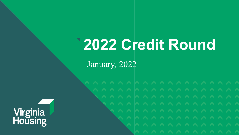## **2022 Credit Round**

January, 2022

**Virginia<br>Housing**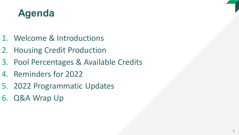### **Agenda**

- 1. Welcome & Introductions
- 2. Housing Credit Production
- 3. Pool Percentages & Available Credits
- 4. Reminders for 2022
- 5. 2022 Programmatic Updates
- 6. Q&A Wrap Up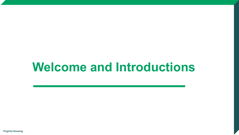### **Welcome and Introductions**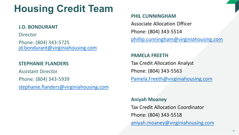### **Housing Credit Team**

### **J.D. BONDURANT**

**Director** 

Phone: (804) 343-5725 [jd.bondurant@virginiahousing.com](mailto:jd.bondurant@virginiahousing.com)

### **STEPHANIE FLANDERS**

Assistant Director

Phone: (804) 343-5939

[stephanie.flanders@virginiahousing.com](mailto:stephanie.flanders@vhda.com)

### **PHIL CUNNINGHAM**

Associate Allocation Officer Phone: (804) 343-5514

[phillip.cunningham@virginiahousing.com](mailto:phillip.cunningham@vhda.com)

### **PAMELA FREETH**

Tax Credit Allocation Analyst Phone: (804) 343-5563 [Pamela.Freeth@virginiahousing.com](mailto:Pamela.Freeth@vhda.com)

### **Aniyah Moaney**

Tax Credit Allocation Coordinator Phone: (804) 343-5518

[aniyah.moaney@virginiahousing.com](mailto:aniyah.moaney@vhda.com)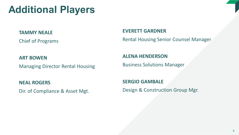### **Additional Players**

### **TAMMY NEALE**

Chief of Programs

### **EVERETT GARDNER**

Rental Housing Senior Counsel Manager

### **ART BOWEN**

Managing Director Rental Housing

### **NEAL ROGERS**

Dir. of Compliance & Asset Mgt.

### **ALENA HENDERSON**

Business Solutions Manager

**SERGIO GAMBALE** Design & Construction Group Mgr.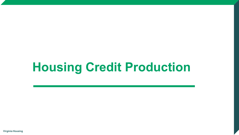## **Housing Credit Production**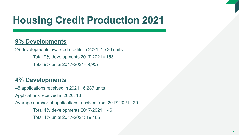### **Housing Credit Production 2021**

### **9% Developments**

29 developments awarded credits in 2021; 1,730 units Total 9% developments 2017-2021= 153 Total 9% units 2017-2021= 9,957

### **4% Developments**

45 applications received in 2021: 6,287 units Applications received in 2020: 18 Average number of applications received from 2017-2021: 29 Total 4% developments 2017-2021: 146 Total 4% units 2017-2021: 19,406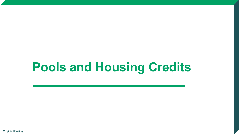## **Pools and Housing Credits**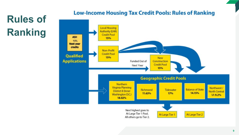### **Rules of Ranking**

### **Low-Income Housing Tax Credit Pools: Rules of Ranking**

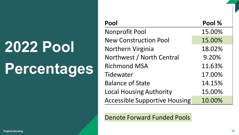# **2022 Pool Percentages**

| Pool                                 | Pool % |
|--------------------------------------|--------|
| <b>Nonprofit Pool</b>                | 15.00% |
| <b>New Construction Pool</b>         | 15.00% |
| Northern Virginia                    | 18.02% |
| Northwest / North Central            | 9.20%  |
| <b>Richmond MSA</b>                  | 11.63% |
| Tidewater                            | 17.00% |
| <b>Balance of State</b>              | 14.15% |
| <b>Local Housing Authority</b>       | 15.00% |
| <b>Accessible Supportive Housing</b> | 10.00% |

Denote Forward Funded Pools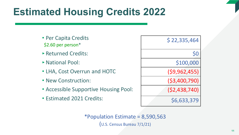### **Estimated Housing Credits 2022**

- Per Capita Credits \$2.60 per person\*
- ‣ Returned Credits:
- **National Pool:**
- LHA, Cost Overrun and HOTC
- New Construction:
- Accessible Supportive Housing Pool:
- Estimated 2021 Credits:

| \$22,335,464   |     |
|----------------|-----|
|                | \$0 |
| \$100,000      |     |
| (59, 962, 455) |     |
| ( \$3,400,790) |     |
| (52, 438, 740) |     |
| \$6,633,379    |     |

\*Population Estimate = 8,590,563 (U.S. Census Bureau 7/1/21)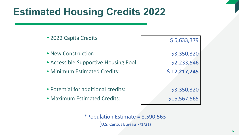### **Estimated Housing Credits 2022**

| • 2022 Capita Credits               | \$6,633,379  |
|-------------------------------------|--------------|
| • New Construction:                 | \$3,350,320  |
| Accessible Supportive Housing Pool: | \$2,233,546  |
| • Minimum Estimated Credits:        | \$12,217,245 |
|                                     |              |
| • Potential for additional credits: | \$3,350,320  |
| • Maximum Estimated Credits:        | \$15,567,565 |

\*Population Estimate = 8,590,563 (U.S. Census Bureau 7/1/21)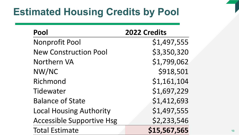### **Estimated Housing Credits by Pool**

| Pool                             | 2022 Credits |
|----------------------------------|--------------|
| <b>Nonprofit Pool</b>            | \$1,497,555  |
| <b>New Construction Pool</b>     | \$3,350,320  |
| <b>Northern VA</b>               | \$1,799,062  |
| NW/NC                            | \$918,501    |
| Richmond                         | \$1,161,104  |
| Tidewater                        | \$1,697,229  |
| <b>Balance of State</b>          | \$1,412,693  |
| <b>Local Housing Authority</b>   | \$1,497,555  |
| <b>Accessible Supportive Hsg</b> | \$2,233,546  |
| <b>Total Estimate</b>            | \$15,567,565 |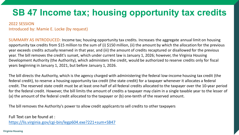### **SB 47 Income tax; housing opportunity tax credits**

### 2022 SESSION Introduced by: Mamie E. Locke (by request)

SUMMARY AS INTRODUCED: Income tax; housing opportunity tax credits. Increases the aggregate annual limit on housing opportunity tax credits from \$15 million to the sum of (i) \$150 million, (ii) the amount by which the allocation for the previous year exceeds credits actually reserved in that year, and (iii) the amount of credits recaptured or disallowed for the previous year. The bill removes the credit's sunset, which under current law is January 1, 2026; however, the Virginia Housing Development Authority (the Authority), which administers the credit, would be authorized to reserve credits only for fiscal years beginning in January 1, 2021, but before January 1, 2026.

The bill directs the Authority, which is the agency charged with administering the federal low-income housing tax credit (the federal credit), to reserve a housing opportunity tax credit (the state credit) for a taxpayer whenever it allocates a federal credit. The reserved state credit must be at least one-half of all federal credits allocated to the taxpayer over the 10-year period for the federal credit. However, the bill limits the amount of credits a taxpayer may claim in a single taxable year to the lesser of (a) the amount of the federal credit allocated to the taxpayer or (b) one-tenth of the reserved amount.

The bill removes the Authority's power to allow credit applicants to sell credits to other taxpayers

Full Text can be found at : <https://lis.virginia.gov/cgi-bin/legp604.exe?221+sum+SB47>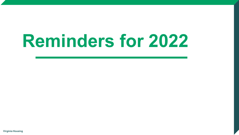# **Reminders for 2022**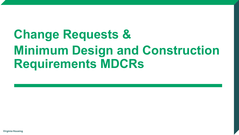## **Change Requests & Minimum Design and Construction Requirements MDCRs**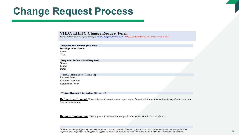### **Change Request Process**

### **VHDA LIHTC Change Request Form**

*Please submit document, via email, to taxcreditapps@vhda.com \*Please submit this document in Word format.*

**Property Information (Required) Development Name:** Street: City:

**Requester Information (Required)** Name: Email: Date:

**VHDA Information (Required)** Request Date: Request Number: Regulation Year:

**Waiver Request Information (Required)**

**Define Requirement** *\*Please define the requirement requesting to be waived/changed as well as the regulation year and type of construction.*

**Request Explanation** *\*Please give a brief explanation of why this waiver should be considered.*

*\*Please attach any supporting documentation and submit to VHDA. Submittal of this form to VHDA does not guarantee exemption from requirements. Requests will be approved, approved with conditions, or rejected in writing by the VHDA TC Allocation Department.*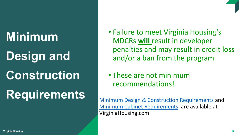### **Minimum**

## **Design and**

## **Construction**

## **Requirements**

### • Failure to meet Virginia Housing's MDCRs **will** result in developer penalties and may result in credit loss and/or a ban from the program

### • These are not minimum recommendations!

[Minimum Design & Construction Requirements](http://www.vhda.com/BusinessPartners/MFDevelopers/MF-LoanApplication-Guides/MF%20Loan%20Applications%20and%20Guides/2015%20Minimum%20Design%20and%20Construction.pdf) and [Minimum Cabinet Requirements](http://www.vhda.com/BusinessPartners/MFDevelopers/MF-LoanApplication-Guides/MF%20Loan%20Applications%20and%20Guides/2010Minimum-Cabinet-Reqs.pdf) are available at VirginiaHousing.com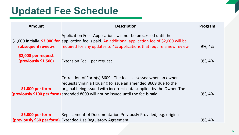### **Updated Fee Schedule**

| Amount                                      | <b>Description</b>                                                                                                                                                                                                                                                                            | Program |
|---------------------------------------------|-----------------------------------------------------------------------------------------------------------------------------------------------------------------------------------------------------------------------------------------------------------------------------------------------|---------|
| subsequent reviews                          | Application Fee - Applications will not be processed until the<br>\$1,000 initially, \$2,000 for application fee is paid. An additional application fee of \$2,000 will be<br>required for any updates to 4% applications that require a new review.                                          | 9%, 4%  |
| \$2,000 per request<br>(previously \$1,500) | Extension Fee $-$ per request                                                                                                                                                                                                                                                                 | 9%, 4%  |
| $$1,000$ per form                           | Correction of Form(s) 8609 - The fee is assessed when an owner<br>requests Virginia Housing to issue an amended 8609 due to the<br>original being issued with incorrect data supplied by the Owner. The<br>(previously \$100 per form) amended 8609 will not be issued until the fee is paid. | 9%, 4%  |
| \$5,000 per form                            | Replacement of Documentation Previously Provided, e.g. original<br>(previously \$50 per form) Extended Use Regulatory Agreement                                                                                                                                                               | 9%, 4%  |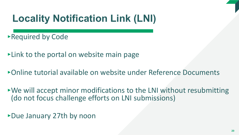### **Locality Notification Link (LNI)**

‣Required by Code

‣Link to the portal on website main page

‣Online tutorial available on website under Reference Documents

 $\rightarrow$  We will accept minor modifications to the LNI without resubmitting (do not focus challenge efforts on LNI submissions)

‣Due January 27th by noon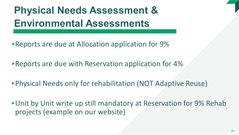**Physical Needs Assessment & Environmental Assessments**

- ‣Reports are due at Allocation application for 9%
- ‣Reports are due with Reservation application for 4%
- ‣Physical Needs only for rehabilitation (NOT Adaptive Reuse)

‣Unit by Unit write up still mandatory at Reservation for 9% Rehab projects (example on our website)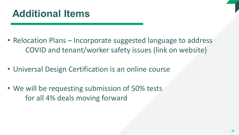- Relocation Plans Incorporate suggested language to address COVID and tenant/worker safety issues (link on website)
- Universal Design Certification is an online course
- We will be requesting submission of 50% tests for all 4% deals moving forward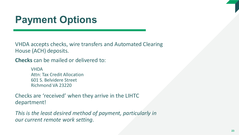### **Payment Options**

VHDA accepts checks, wire transfers and Automated Clearing House (ACH) deposits.

**Checks** can be mailed or delivered to:

VHDA Attn: Tax Credit Allocation 601 S. Belvidere Street Richmond VA 23220

Checks are 'received' when they arrive in the LIHTC department!

*This is the least desired method of payment, particularly in our current remote work setting*.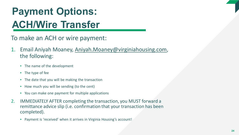### **Payment Options: ACH/Wire Transfer**

- To make an ACH or wire payment:
- 1. Email Aniyah Moaney, Aniyah.Moaney@virginiahousing.com, the following:
	- $\blacktriangleright$  The name of the development
	- $\blacktriangleright$  The type of fee
	- $\triangleright$  The date that you will be making the transaction
	- $\rightarrow$  How much you will be sending (to the cent)
	- $\triangleright$  You can make one payment for multiple applications
- 2. IMMEDIATELY AFTER completing the transaction, you MUST forward a remittance advice slip (i.e. confirmation that your transaction has been completed).
	- ‣ Payment is 'received' when it arrives in Virginia Housing's account!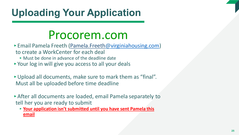### **Uploading Your Application**

### Procorem.com

- ‣ Email Pamela Freeth (Pamela.Freeth@[virginiahousing.com](mailto:hope.rutter@vhda.com)) to create a WorkCenter for each deal
	- $\triangleright$  Must be done in advance of the deadline date
- ‣ Your log in will give you access to all your deals
- ‣Upload all documents, make sure to mark them as "final". Must all be uploaded before time deadline
- ‣After all documents are loaded, email Pamela separately to tell her you are ready to submit
	- ‣ **Your application isn't submitted until you have sent Pamela this email**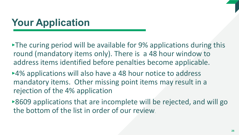### **Your Application**

- ‣The curing period will be available for 9% applications during this round (mandatory items only). There is a 48 hour window to address items identified before penalties become applicable.
- ‣4% applications will also have a 48 hour notice to address mandatory items. Other missing point items may result in a rejection of the 4% application
- ►8609 applications that are incomplete will be rejected, and will go the bottom of the list in order of our review.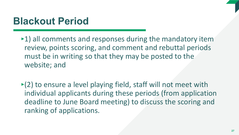### **Blackout Period**

- $\blacktriangleright$ 1) all comments and responses during the mandatory item review, points scoring, and comment and rebuttal periods must be in writing so that they may be posted to the website; and
- $\blacktriangleright$  (2) to ensure a level playing field, staff will not meet with individual applicants during these periods (from application deadline to June Board meeting) to discuss the scoring and ranking of applications.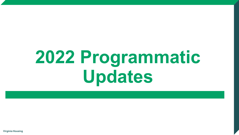# **2022 Programmatic Updates**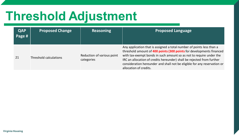## **Threshold Adjustment**

| <b>QAP</b><br>Page # | <b>Proposed Change</b> | <b>Reasoning</b>                         | <b>Proposed Language</b>                                                                                                                                                                                                                                                                                                                                                                             |
|----------------------|------------------------|------------------------------------------|------------------------------------------------------------------------------------------------------------------------------------------------------------------------------------------------------------------------------------------------------------------------------------------------------------------------------------------------------------------------------------------------------|
| 21                   | Threshold calculations | Reduction of various point<br>categories | Any application that is assigned a total number of points less than a<br>threshold amount of 400 points (300 points for developments financed<br>with tax-exempt bonds in such amount so as not to require under the<br>IRC an allocation of credits hereunder) shall be rejected from further<br>consideration hereunder and shall not be eligible for any reservation or<br>allocation of credits. |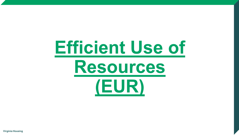# **Efficient Use of Resources (EUR)**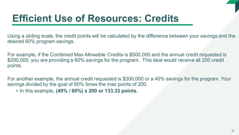### **Efficient Use of Resources: Credits**

Using a sliding scale, the credit points will be calculated by the difference between your savings and the desired 60% program savings.

For example, if the Combined Max Allowable Credits is \$500,000 and the annual credit requested is \$200,000, you are providing a 60% savings for the program. This deal would receive all 200 credit points.

For another example, the annual credit requested is \$300,000 or a 40% savings for the program. Your savings divided by the goal of 60% times the max points of 200.

‣ In this example, **(40% / 60%) x 200 or 133.33 points.**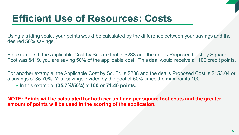### **Efficient Use of Resources: Costs**

Using a sliding scale, your points would be calculated by the difference between your savings and the desired 50% savings.

For example, If the Applicable Cost by Square foot is \$238 and the deal's Proposed Cost by Square Foot was \$119, you are saving 50% of the applicable cost. This deal would receive all 100 credit points.

For another example, the Applicable Cost by Sq. Ft. is \$238 and the deal's Proposed Cost is \$153.04 or a savings of 35.70%. Your savings divided by the goal of 50% times the max points 100.

‣ In this example, **(35.7%/50%) x 100 or 71.40 points.** 

**NOTE: Points will be calculated for both per unit and per square foot costs and the greater amount of points will be used in the scoring of the application.**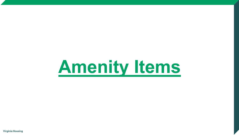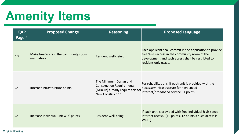## **Amenity Items**

| <b>QAP</b><br>Page # | <b>Proposed Change</b>                             | <b>Reasoning</b>                                                                                                          | <b>Proposed Language</b>                                                                                                                                                                  |
|----------------------|----------------------------------------------------|---------------------------------------------------------------------------------------------------------------------------|-------------------------------------------------------------------------------------------------------------------------------------------------------------------------------------------|
| 10                   | Make free Wi-Fi in the community room<br>mandatory | Resident well-being                                                                                                       | Each applicant shall commit in the application to provide<br>free Wi-Fi access in the community room of the<br>development and such access shall be restricted to<br>resident only usage. |
| 14                   | Internet infrastructure points                     | The Minimum Design and<br><b>Construction Requirements</b><br>(MDCRs) already require this for<br><b>New Construction</b> | For rehabilitations, if each unit is provided with the<br>necessary infrastructure for high-speed<br>Internet/broadband service. (1 point)                                                |
| 14                   | Increase individual unit wi-fi points              | Resident well-being                                                                                                       | If each unit is provided with free individual high-speed<br>Internet access. (10 points, 12 points if such access is<br>$Wi$ -Fi.)                                                        |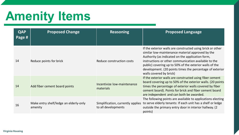## **Amenity Items**

| <b>QAP</b><br>Page # | <b>Proposed Change</b>                            | <b>Reasoning</b>                                         | <b>Proposed Language</b>                                                                                                                                                                                                                                                                                                                                                     |
|----------------------|---------------------------------------------------|----------------------------------------------------------|------------------------------------------------------------------------------------------------------------------------------------------------------------------------------------------------------------------------------------------------------------------------------------------------------------------------------------------------------------------------------|
| 14                   | Reduce points for brick                           | Reduce construction costs                                | If the exterior walls are constructed using brick or other<br>similar low-maintenance material approved by the<br>Authority (as indicated on the application form,<br>instructions or other communication available to the<br>public) covering up to 50% of the exterior walls of the<br>development. (20 points times the percentage of exterior<br>walls covered by brick) |
| 14                   | Add fiber cement board points                     | Incentivize low-maintenance<br>materials                 | If the exterior walls are constructed using fiber cement<br>board covering up to 50% of the exterior walls. (20 points<br>times the percentage of exterior walls covered by fiber<br>cement board). Points for brick and fiber cement board<br>are independent and can both be awarded.                                                                                      |
| 16                   | Make entry shelf/ledge an elderly-only<br>amenity | Simplification, currently applies<br>to all developments | The following points are available to applications electing<br>to serve elderly tenants: If each unit has a shelf or ledge<br>outside the primary entry door in interior hallway. (2)<br>points)                                                                                                                                                                             |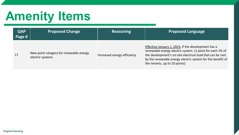## **Amenity Items**

| <b>QAP</b><br>Page # | <b>Proposed Change</b>                                      | <b>Reasoning</b>            | <b>Proposed Language</b>                                                                                                                                                                                                                                                     |
|----------------------|-------------------------------------------------------------|-----------------------------|------------------------------------------------------------------------------------------------------------------------------------------------------------------------------------------------------------------------------------------------------------------------------|
| 17                   | New point category for renewable energy<br>electric systems | Increased energy efficiency | Effective January 1, 2023, if the development has a<br>renewable energy electric system. (1 point for each 2% of<br>the development's on-site electrical load that can be met<br>by the renewable energy electric system for the benefit of<br>the tenants, up to 10 points) |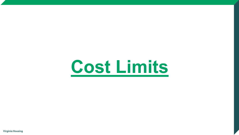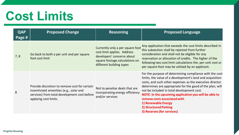## **Cost Limits**

| <b>QAP</b><br>Page # | <b>Proposed Change</b>                                                                                                                                           | <b>Reasoning</b>                                                                                                                                            | <b>Proposed Language</b>                                                                                                                                                                                                                                                                                                                                                                                                                                           |
|----------------------|------------------------------------------------------------------------------------------------------------------------------------------------------------------|-------------------------------------------------------------------------------------------------------------------------------------------------------------|--------------------------------------------------------------------------------------------------------------------------------------------------------------------------------------------------------------------------------------------------------------------------------------------------------------------------------------------------------------------------------------------------------------------------------------------------------------------|
| 7, 8                 | Go back to both a per unit and per square<br>foot cost limit                                                                                                     | Currently only a per square foot<br>cost limit applies. Address<br>developers' concerns about<br>square footage calculations on<br>different building types | Any application that exceeds the cost limits described in<br>this subsection shall be rejected from further<br>consideration and shall not be eligible for any<br>reservation or allocation of credits. The higher of the<br>following two cost limit calculations the: per-unit cost or<br>per-square-foot may be utilized by an applicant.                                                                                                                       |
| 8                    | Provide discretion to remove cost for certain<br>incentivized amenities (e.g., solar and<br>services) from total development cost before<br>applying cost limits | Not to penalize deals that are<br>incorporating energy efficiency<br>and/or services                                                                        | For the purpose of determining compliance with the cost<br>limits, the value of a development's land and acquisition<br>costs, and such other expenses as the executive director<br>determines are appropriate for the good of the plan, will<br>not be included in total development cost.<br>NOTE: In the upcoming application you will be able to<br>remove costs associated with<br>1) Renewable Energy<br>2) Structured Parking<br>3) Reserves (for services) |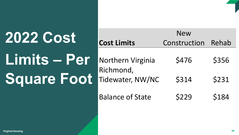# **2022 Cost Limits – Per Square Foot**

| <b>Cost Limits</b>            | <b>New</b><br>Construction | Rehab |
|-------------------------------|----------------------------|-------|
| <b>Northern Virginia</b>      | \$476                      | \$356 |
| Richmond,<br>Tidewater, NW/NC | \$314                      | \$231 |
| <b>Balance of State</b>       | \$229                      | \$184 |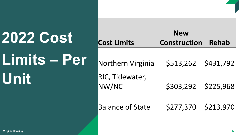# **2022 Cost Limits – Per Unit**

| <b>Cost Limits</b>       | <b>New</b><br><b>Construction</b> | <b>Rehab</b> |
|--------------------------|-----------------------------------|--------------|
| Northern Virginia        | \$513,262 \$431,792               |              |
| RIC, Tidewater,<br>NW/NC | \$303,292 \$225,968               |              |
| <b>Balance of State</b>  | \$277,370 \$213,970               |              |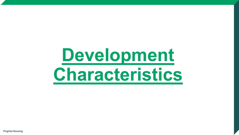# Development **Characteristics**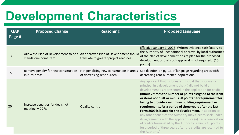### **Development Characteristics**

| <b>QAP</b><br>Page # | <b>Proposed Change</b>                                | <b>Reasoning</b>                                                                                                       | <b>Proposed Language</b>                                                                                                                                                                                                                                                                                                                                                                                                                                                                                                                                                                                                                                                                                                                                         |
|----------------------|-------------------------------------------------------|------------------------------------------------------------------------------------------------------------------------|------------------------------------------------------------------------------------------------------------------------------------------------------------------------------------------------------------------------------------------------------------------------------------------------------------------------------------------------------------------------------------------------------------------------------------------------------------------------------------------------------------------------------------------------------------------------------------------------------------------------------------------------------------------------------------------------------------------------------------------------------------------|
| 13                   | standalone point item                                 | Allow the Plan of Development to be a An approved Plan of Development should<br>translate to greater project readiness | Effective January 1, 2023, Written evidence satisfactory to<br>the Authority of unconditional approval by local authorities<br>of the plan of development or site plan for the proposed<br>development or that such approval is not required. (10<br>points)                                                                                                                                                                                                                                                                                                                                                                                                                                                                                                     |
| 15                   | Remove penalty for new construction<br>in rural areas | Not penalizing new construction in areas<br>of decreasing rent burden                                                  | See deletion on pg. 13 of language regarding areas with<br>decreasing rent burdened populations.                                                                                                                                                                                                                                                                                                                                                                                                                                                                                                                                                                                                                                                                 |
| 20                   | Increase penalties for deals not<br>meeting MDCRs     | <b>Quality control</b>                                                                                                 | Any applicant that includes a principal that is or was a<br>principal in a development that (i) did not build a<br>development as represented in the application for credit<br>(minus 2 times the number of points assigned to the item<br>or items not built or minus 50 points per requirement for<br>failing to provide a minimum building requirement or<br>requirements, for a period of three years after the last<br>Form 8609 is issued for the development, in addition to<br>any other penalties the Authority may elect to seek under<br>its agreements with the applicant), or (ii) has a reservation<br>of credits terminated by the Authority. (minus 10 points<br>for a period of three years after the credits are returned to<br>the Authority) |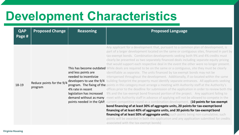### **Development Characteristics**

| <b>QAP</b><br>Page # | <b>Proposed Change</b>               | <b>Reasoning</b>                                                                                                            | <b>Proposed Language</b>                                                                                                                                                                                                                                                                                                                                                                                                                                                                                                                                                                                                                                                                                                                                                                                                                                                                                                                                                                                                                                                                                                                                                                                                                                                                                                                                                                                                                                                                                                                                                                                                                                                                                                                                                                    |
|----------------------|--------------------------------------|-----------------------------------------------------------------------------------------------------------------------------|---------------------------------------------------------------------------------------------------------------------------------------------------------------------------------------------------------------------------------------------------------------------------------------------------------------------------------------------------------------------------------------------------------------------------------------------------------------------------------------------------------------------------------------------------------------------------------------------------------------------------------------------------------------------------------------------------------------------------------------------------------------------------------------------------------------------------------------------------------------------------------------------------------------------------------------------------------------------------------------------------------------------------------------------------------------------------------------------------------------------------------------------------------------------------------------------------------------------------------------------------------------------------------------------------------------------------------------------------------------------------------------------------------------------------------------------------------------------------------------------------------------------------------------------------------------------------------------------------------------------------------------------------------------------------------------------------------------------------------------------------------------------------------------------|
| 18-19                | Reduce points for the 9/4<br>program | and less points are<br>needed to incentivize<br>developers to use the 9/4<br>4% rate in recent<br>legislation has increased | Any applicant for a development that, pursuant to a common plan of development, is<br>part of a larger development located on the same or contiguous sites, financed in part by<br>tax-exempt bonds. Combination developments seeking both 9% and 4% credits must<br>clearly be presented as two separately financed deals including separate equity pricing<br>that would support each respective deal in the event the other were no longer present.<br>This has become outdated While deals are required to be on the same or a contiguous, site they must be clearly<br>identifiable as separate. The units financed by tax exempt bonds may not be<br>interspersed throughout the development. Additionally, if co-located within the same<br>building footprint the property must identify separate entrances. All applicants seeking<br>program. The fixing of the points in this category must arrange a meeting with Authority staff at the Authority's<br>offices prior to the deadline for submission of the application in order to review both the<br>9% and the tax-exempt bond financed portion of the project. Any applicant failing to<br>demand without as many meet with Authority staff in advance of applying will not be allowed to compete in the<br>points needed in the QAP. current competitive round as a combination development. (10 points for tax-exempt<br>bond financing of at least 30% of aggregate units, 20 points for tax-exempt bond<br>financing of at least 40% of aggregate units, and 30 points for tax-exempt bond<br>financing of at least 50% of aggregate units; such points being non-cumulative; such<br>points will be awarded in both the application and any application submitted for credits<br>associated with the tax-exempt bonds) |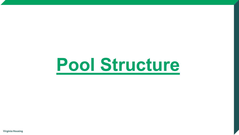# **Pool Structure**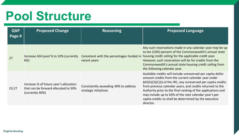### **Pool Structure**

| <b>QAP</b><br>Page # | <b>Proposed Change</b>                                                                            | <b>Reasoning</b>                                               | <b>Proposed Language</b>                                                                                                                                                                                                                                                                                                                                                                                                                         |
|----------------------|---------------------------------------------------------------------------------------------------|----------------------------------------------------------------|--------------------------------------------------------------------------------------------------------------------------------------------------------------------------------------------------------------------------------------------------------------------------------------------------------------------------------------------------------------------------------------------------------------------------------------------------|
| 27                   | Increase ASH pool % to 10% (currently<br>$6%$ )                                                   | Consistent with the percentages funded in<br>recent years      | Any such reservations made in any calendar year may be up<br>to ten (10%) percent of the Commonwealth's annual state<br>housing credit ceiling for the applicable credit year.<br>However, such reservation will be for credits from the<br>Commonwealth's annual state housing credit ceiling from<br>the following calendar year.                                                                                                              |
| 23,27                | Increase % of future year's allocation<br>that can be forward allocated to 50%<br>(currently 40%) | Consistently exceeding 40% to address<br>strategic initiatives | Available credits will include unreserved per capita dollar<br>amount credits from the current calendar year under<br>§42(h)(3)(C)(i) of the IRC, any unreserved per capita credits<br>from previous calendar years, and credits returned to the<br>Authority prior to the final ranking of the applications and<br>may include up to 50% of the next calendar year's per<br>capita credits as shall be determined by the executive<br>director. |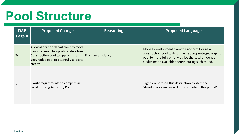### **Pool Structure**

| <b>QAP</b><br>Page # | <b>Proposed Change</b>                                                                                                                                                    | <b>Reasoning</b>          | <b>Proposed Language</b>                                                                                                                                                                                                 |
|----------------------|---------------------------------------------------------------------------------------------------------------------------------------------------------------------------|---------------------------|--------------------------------------------------------------------------------------------------------------------------------------------------------------------------------------------------------------------------|
| 24                   | Allow allocation department to move<br>deals between Nonprofit and/or New<br>Construction pool to appropriate<br>geographic pool to best/fully allocate<br><b>credits</b> | <b>Program efficiency</b> | Move a development from the nonprofit or new<br>construction pool to its or their appropriate geographic<br>pool to more fully or fully utilize the total amount of<br>credits made available therein during such round. |
|                      | Clarify requirements to compete in<br>Local Housing Authority Pool                                                                                                        |                           | Slightly rephrased this description to state the<br>"developer or owner will not compete in this pool if"                                                                                                                |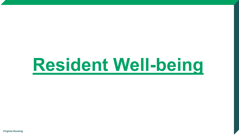# **Resident Well-being**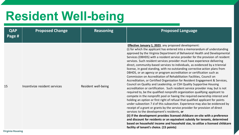## **Resident Well-being**

| <b>QAP</b><br>Page # | <b>Proposed Change</b>        | <b>Reasoning</b>    | <b>Proposed Language</b>                                                                                                                                                                                                                                                                                                                                                                                                                                                                                                                                                                                                                                                                                                                                                                                                                                                                                                                                                                                                                                                                                                                                                                                                                                                                                                                                                                                                                                                                                                                                                                                                                                                                                         |
|----------------------|-------------------------------|---------------------|------------------------------------------------------------------------------------------------------------------------------------------------------------------------------------------------------------------------------------------------------------------------------------------------------------------------------------------------------------------------------------------------------------------------------------------------------------------------------------------------------------------------------------------------------------------------------------------------------------------------------------------------------------------------------------------------------------------------------------------------------------------------------------------------------------------------------------------------------------------------------------------------------------------------------------------------------------------------------------------------------------------------------------------------------------------------------------------------------------------------------------------------------------------------------------------------------------------------------------------------------------------------------------------------------------------------------------------------------------------------------------------------------------------------------------------------------------------------------------------------------------------------------------------------------------------------------------------------------------------------------------------------------------------------------------------------------------------|
| 15                   | Incentivize resident services | Resident well-being | <b>Effective January 1, 2023</b> , any proposed development:<br>(i) for which the applicant has entered into a memorandum of understanding<br>approved by the Virginia Department of Behavioral Health and Developmental<br>Services (DBHDS) with a resident service provider for the provision of resident<br>services. Such resident services provider must have experience delivering<br>direct, community-based services to individuals, as evidenced by a triennial<br>license, in good standing, with no outstanding corrective action plans from<br>DBHDS, or an agency or program accreditation or certification such as<br>Commission on Accreditation of Rehabilitation Facilities, Council on<br>Accreditation, or Certified Organization for Resident Engagement & Services,<br>Council on Quality and Leadership, or CSH Quality Supportive Housing<br>accreditation or certification. Such resident service provider may, but is not<br>required to, be the qualified nonprofit organization qualifying applicant to<br>compete in the nonprofit pool or having the required ownership interest and<br>holding an option or first right of refusal that qualified applicant for points<br>under subsection 7 d of this subsection. Experience may also be evidenced by<br>receipt of a grant or grants by the service provider for provision of direct<br>services to the development's residents, or<br>(ii) if the development provides licensed childcare on-site with a preference<br>and discount for residents or an equivalent subsidy for tenants, determined<br>based on household income and household size, to utilize a licensed childcare<br>facility of tenant's choice. (15 points) |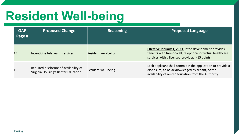## **Resident Well-being**

| <b>QAP</b><br>Page # | <b>Proposed Change</b>                                                        | <b>Reasoning</b>    | <b>Proposed Language</b>                                                                                                                                                        |
|----------------------|-------------------------------------------------------------------------------|---------------------|---------------------------------------------------------------------------------------------------------------------------------------------------------------------------------|
| 15                   | Incentivize telehealth services                                               | Resident well-being | <b>Effective January 1, 2023</b> , If the development provides<br>tenants with free on-call, telephonic or virtual healthcare<br>services with a licensed provider. (15 points) |
| 10                   | Required disclosure of availability of<br>Virginia Housing's Renter Education | Resident well-being | Each applicant shall commit in the application to provide a<br>disclosure, to be acknowledged by tenant, of the<br>availability of renter education from the Authority.         |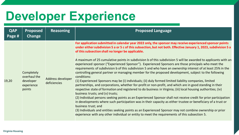| <b>QAP</b><br>Page # | <b>Proposed</b><br>Change                                              | <b>Reasoning</b>                  | <b>Proposed Language</b>                                                                                                                                                                                                                                                                                                                                                                                                                                                                                                                                                                                                                                                                                                                                                                                                                                                                                                                                                                                                                                                                                                                                                                                                                                                                                                                                                                                                                                                                                                                                                                                  |
|----------------------|------------------------------------------------------------------------|-----------------------------------|-----------------------------------------------------------------------------------------------------------------------------------------------------------------------------------------------------------------------------------------------------------------------------------------------------------------------------------------------------------------------------------------------------------------------------------------------------------------------------------------------------------------------------------------------------------------------------------------------------------------------------------------------------------------------------------------------------------------------------------------------------------------------------------------------------------------------------------------------------------------------------------------------------------------------------------------------------------------------------------------------------------------------------------------------------------------------------------------------------------------------------------------------------------------------------------------------------------------------------------------------------------------------------------------------------------------------------------------------------------------------------------------------------------------------------------------------------------------------------------------------------------------------------------------------------------------------------------------------------------|
| 19,20                | <b>Completely</b><br>overhaul the<br>developer<br>experience<br>points | Address developer<br>deficiencies | For application submitted in calendar year 2022 only, the sponsor may receive experienced sponsor points<br>under either subdivision 5 a or 5 c of this subsection, but not both. Effective January 1, 2023, subdivision 5 a<br>of this subsection shall no longer be applicable.<br>A maximum of 25 cumulative points in subdivision b of this subdivision 5 will be awarded to applicants with an<br>experienced sponsor ("Experienced Sponsor"). Experienced Sponsors are those principals who meet the<br>requirements of subdivision b of this subdivision 5 and who have an ownership interest of at least 25% in the<br>controlling general partner or managing member for the proposed development, subject to the following<br>conditions:<br>(1) Experienced Sponsors may be (i) individuals; (ii) duly formed limited liability companies, limited<br>partnerships, and corporations, whether for-profit or non-profit, and which are in good standing in their<br>respective state of formation and registered to do business in Virginia; (iii) local housing authorities; (iv)<br>business trusts; and (v) trusts;<br>(2) Individual persons seeking points as an Experienced Sponsor shall not receive credit for prior participation<br>in developments where such participation was in their capacity as either trustee or beneficiary of a trust or<br>business trust; and<br>(3) Individuals and entities seeking points as an Experienced Sponsor may not combine ownership or prior<br>experience with any other individual or entity to meet the requirements of this subsection 5. |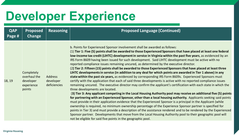| <b>QAP</b><br>Page # | <b>Proposed</b><br><b>Change</b>                                | <b>Reasoning</b>                            | <b>Proposed Language (Continued)</b>                                                                                                                                                                                                                                                                                                                                                                                                                                                                                                                                                                                                                                                                                                                                                                                                                                                                                                                                                                                                                                                                                                                                                                                                                                                                                                                                                                                                                                                                                                                                                                                                                                                                                                                                                                                                                                                                                  |
|----------------------|-----------------------------------------------------------------|---------------------------------------------|-----------------------------------------------------------------------------------------------------------------------------------------------------------------------------------------------------------------------------------------------------------------------------------------------------------------------------------------------------------------------------------------------------------------------------------------------------------------------------------------------------------------------------------------------------------------------------------------------------------------------------------------------------------------------------------------------------------------------------------------------------------------------------------------------------------------------------------------------------------------------------------------------------------------------------------------------------------------------------------------------------------------------------------------------------------------------------------------------------------------------------------------------------------------------------------------------------------------------------------------------------------------------------------------------------------------------------------------------------------------------------------------------------------------------------------------------------------------------------------------------------------------------------------------------------------------------------------------------------------------------------------------------------------------------------------------------------------------------------------------------------------------------------------------------------------------------------------------------------------------------------------------------------------------------|
| 18, 19               | Completely<br>overhaul the<br>developer<br>experience<br>points | <b>Address</b><br>developer<br>deficiencies | b. Points for Experienced Sponsor involvement shall be awarded as follows:<br>(1) Tier 1: Five (5) points shall be awarded to those Experienced Sponsors that have placed at least one federal<br>low-income tax credit (LIHTC) development in service in Virginia within the past five years, as evidenced by an<br>IRS Form 8609 having been issued for such development. Said LIHTC development must be active with no<br>reported compliance issues remaining uncured, as determined by the executive director.<br>(2) Tier 2: Fifteen (15) points shall be awarded to those Experienced Sponsors that have placed at least three<br>LIHTC developments in service (in addition to any deal for which points are awarded in Tier 1 above) in any<br>state within the past six years, as evidenced by corresponding IRS Form 8609s. Experienced Sponsors must<br>certify with the application that each of said three developments is active with no reported compliance issues<br>remaining uncured. The executive director may confirm the applicant's certification with each state in which the<br>three developments are located.<br>(3) Tier 3: Any applicant competing in the Local Housing Authority pool may receive an additional five (5) points<br>for partnering with an Experienced Sponsor, other than a local housing authority. Applicants seeking said points<br>must provide in their application evidence that the Experienced Sponsor is a principal in the Applicant (while<br>ownership is required, no minimum ownership percentage of the Experience Sponsor partner is specified for<br>points in Tier 3) and must provide a description of the assistance rendered and to be rendered by the Experienced<br>Sponsor partner. Developments that move from the Local Housing Authority pool to their geographic pool will<br>not be eligible for said five points in the geographic pool. |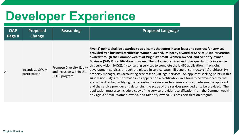| <b>QAP</b><br>Page # | <b>Proposed</b><br>Change                | <b>Reasoning</b>                                                              | <b>Proposed Language</b>                                                                                                                                                                                                                                                                                                                                                                                                                                                                                                                                                                                                                                                                                                                                                                                                                                                                                                                                                                                                                                                                                                                                                                                                                 |
|----------------------|------------------------------------------|-------------------------------------------------------------------------------|------------------------------------------------------------------------------------------------------------------------------------------------------------------------------------------------------------------------------------------------------------------------------------------------------------------------------------------------------------------------------------------------------------------------------------------------------------------------------------------------------------------------------------------------------------------------------------------------------------------------------------------------------------------------------------------------------------------------------------------------------------------------------------------------------------------------------------------------------------------------------------------------------------------------------------------------------------------------------------------------------------------------------------------------------------------------------------------------------------------------------------------------------------------------------------------------------------------------------------------|
| 21                   | <b>Incentivize SWaM</b><br>participation | <b>Promote Diversity, Equity</b><br>and Inclusion within the<br>LIHTC program | Five (5) points shall be awarded to applicants that enter into at least one contract for services<br>provided by a business certified as Women-Owned, Minority-Owned or Service Disables Veteran<br>owned through the Commonwealth of Virginia's Small, Women-owned, and Minority-owned<br>Business (SWaM) certification program. The following services and roles qualify for points under<br>this subdivision 5(d)(2): (i) consulting services to complete the LIHTC application; (ii) ongoing<br>development services through the placed in service date; (iii) general contractor; (iv) architect; (v)<br>property manager; (vi) accounting services; or (vii) legal services. An applicant seeking points in this<br>subdivision 5.d(1) must provide in its application a certification, in a form to be developed by the<br>executive director, certifying that a contract for services has been executed between the applicant<br>and the service provider and describing the scope of the services provided or to be provided. The<br>application must also include a copy of the service provider's certification from the Commonwealth<br>of Virginia's Small, Women-owned, and Minority-owned Business certification program. |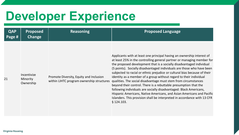| <b>QAP</b><br>Page # | <b>Proposed</b><br>Change            | <b>Reasoning</b>                                                                     | <b>Proposed Language</b>                                                                                                                                                                                                                                                                                                                                                                                                                                                                                                                                                                                                                                                                                                                                                                                                                |
|----------------------|--------------------------------------|--------------------------------------------------------------------------------------|-----------------------------------------------------------------------------------------------------------------------------------------------------------------------------------------------------------------------------------------------------------------------------------------------------------------------------------------------------------------------------------------------------------------------------------------------------------------------------------------------------------------------------------------------------------------------------------------------------------------------------------------------------------------------------------------------------------------------------------------------------------------------------------------------------------------------------------------|
| 21                   | Incentivize<br>Minority<br>Ownership | Promote Diversity, Equity and Inclusion<br>within LIHTC program ownership structures | Applicants with at least one principal having an ownership interest of<br>at least 25% in the controlling general partner or managing member for<br>the proposed development that is a socially disadvantaged individual<br>(5 points). Socially disadvantaged individuals are those who have been<br>subjected to racial or ethnic prejudice or cultural bias because of their<br>identity as a member of a group without regard to their individual<br>qualities. The social disadvantage must stem from circumstances<br>beyond their control. There is a rebuttable presumption that the<br>following individuals are socially disadvantaged: Black Americans,<br>Hispanic Americans, Native Americans, and Asian Americans and Pacific<br>Islanders. This provision shall be interpreted in accordance with 13 CFR<br>$§$ 124.103. |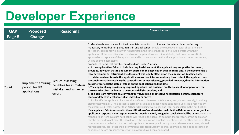| <b>QAP</b><br>Page #' | <b>Proposed</b><br>Change                             | <b>Reasoning</b>                                                                | <b>Proposed Language</b>                                                                                                                                                                                                                                                                                                                                                                                                                                                                                                                                                                                                                                                                                                                                                                                                                                                                                                                                                                                                                                                                                                                                                                                                                                                                                                                                                                                                                                                                                                                                                                                                                                                                                                                                                                                                                                                                                                                                                                                                                                                                                                                                                                                                                                                                                                                                                                                                                                                                                                                                                                                                                                                                                                                                                                   |
|-----------------------|-------------------------------------------------------|---------------------------------------------------------------------------------|--------------------------------------------------------------------------------------------------------------------------------------------------------------------------------------------------------------------------------------------------------------------------------------------------------------------------------------------------------------------------------------------------------------------------------------------------------------------------------------------------------------------------------------------------------------------------------------------------------------------------------------------------------------------------------------------------------------------------------------------------------------------------------------------------------------------------------------------------------------------------------------------------------------------------------------------------------------------------------------------------------------------------------------------------------------------------------------------------------------------------------------------------------------------------------------------------------------------------------------------------------------------------------------------------------------------------------------------------------------------------------------------------------------------------------------------------------------------------------------------------------------------------------------------------------------------------------------------------------------------------------------------------------------------------------------------------------------------------------------------------------------------------------------------------------------------------------------------------------------------------------------------------------------------------------------------------------------------------------------------------------------------------------------------------------------------------------------------------------------------------------------------------------------------------------------------------------------------------------------------------------------------------------------------------------------------------------------------------------------------------------------------------------------------------------------------------------------------------------------------------------------------------------------------------------------------------------------------------------------------------------------------------------------------------------------------------------------------------------------------------------------------------------------------|
| 23,24                 | Implement a 'curing<br>period' for 9%<br>applications | Reduce assessing<br>penalties for immateria<br>mistakes and scrivener<br>errors | 3. May also choose to allow for the immediate correction of minor and immaterial defects affecting<br>mandatory items (but not points items) in an application. Should the executive director choose to allow<br>correction, applicants will be given 48 hours from the time of notification to cure defects with their<br>application. If the executive director allows an applicant to cure minor defects, that does not constitute<br>approval or acceptance of the application and is not an assurance that the application, upon further review,<br>will be deemed acceptable.<br>Examples of items that may be considered as "curable" include:<br>a. If the applicant has failed to include a required document, the applicant may supply the document,<br>provided, however, that the document existed on the application deadline date and, if the document is a<br>legal agreement or instrument, the document was legally effective on the application deadline date;<br>b. If statements or items in the application are contradictory or mutually inconsistent, the applicant may<br>present information resolving the contradiction or inconsistency, provided, however, that the information<br>accurately reflects the state of affairs on the application deadline date;<br>c. The applicant may provide any required signature that has been omitted, except for applications that<br>the executive director deems to be substantially incomplete; and<br>d. The applicant may cure any scrivener's error, missing or defective notarization, defective signature<br>block, or defective legal name of an individual or entity.<br>4. Shall notify the applicant of any curable defects it discovers by telephone, and, simultaneously, in writing<br>electronically (email). The applicant's corrective submission shall not be considered unless it is received by<br>the executive director no later than 48 hours (excluding weekends and legal holidays) from the notification.<br>If an applicant fails to respond to the notification of curable defects within the 48-hour cure period, or if an<br>applicant's response is nonresponsive to the question asked, a negative conclusion shall be drawn. Failure to<br>respond to an item in a cure notification will result in the denial of points in that category or the application<br>may be deemed to not meet threshold. After the application deadline, telephone calls or other oral or written<br>communications on behalf of a tax credit applicant (for example, from a project's development team, elected<br>representatives, etc.) other than information submitted pursuant to this subdivision shall not be accepted or<br>considered before preliminary reservation awards have been announced. |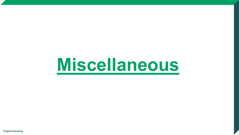# **Miscellaneous**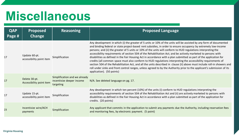### **Miscellaneous**

| <b>QAP</b><br>Page # | <b>Proposed</b><br>Change                 | <b>Reasoning</b>                                                        | <b>Proposed Language</b>                                                                                                                                                                                                                                                                                                                                                                                                                                                                                                                                                                                                                                                                                                                                                                                                                                                                                                                                                                           |
|----------------------|-------------------------------------------|-------------------------------------------------------------------------|----------------------------------------------------------------------------------------------------------------------------------------------------------------------------------------------------------------------------------------------------------------------------------------------------------------------------------------------------------------------------------------------------------------------------------------------------------------------------------------------------------------------------------------------------------------------------------------------------------------------------------------------------------------------------------------------------------------------------------------------------------------------------------------------------------------------------------------------------------------------------------------------------------------------------------------------------------------------------------------------------|
| 17                   | Update 60-pt.<br>accessibility point item | Simplification                                                          | Any development in which (i) the greater of 5 units or 10% of the units will be assisted by any form of documented<br>and binding federal or state project-based rent subsidies, in order to ensure occupancy by extremely low-income<br>persons; and (ii) the greater of 5 units or 10% of the units will conform to HUD regulations interpreting the<br>accessibility requirements of section 504 of the Rehabilitation Act; and be actively marketed to persons with<br>disabilities as defined in the Fair Housing Act in accordance with a plan submitted as part of the application for<br>credits (all common space must also conform to HUD regulations interpreting the accessibility requirements of<br>section 504 of the Rehabilitation Act, and all the units described in clause (ii) above must include roll-in showers and<br>roll under sinks and front control ranges, unless agreed to by the Authority prior to the applicant's submission of its<br>application). (50 points) |
| 17                   | Delete 30-pt.<br>Accessibility point item | Simplification and we already<br>incentivize deeper income<br>targeting | N/A. See deleted language on pg. 17.                                                                                                                                                                                                                                                                                                                                                                                                                                                                                                                                                                                                                                                                                                                                                                                                                                                                                                                                                               |
| 17                   | Update 15-pt.<br>accessibility point item | Simplification                                                          | Any development in which ten percent (10%) of the units (i) conform to HUD regulations interpreting the<br>accessibility requirements of section 504 of the Rehabilitation Act and (ii) are actively marketed to persons with<br>disabilities as defined in the Fair Housing Act in accordance with a plan submitted as part of the application for<br>credits. (20 points)                                                                                                                                                                                                                                                                                                                                                                                                                                                                                                                                                                                                                        |
| 23                   | Incentivize wire/ACH<br>payments          | Simplification                                                          | Any applicant that commits in the application to submit any payments due the Authority, including reservation fees<br>and monitoring fees, by electronic payment. (5 point)                                                                                                                                                                                                                                                                                                                                                                                                                                                                                                                                                                                                                                                                                                                                                                                                                        |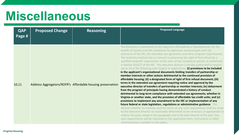### **Miscellaneous**

| <b>QAP</b><br>Page # | <b>Proposed Change</b> | <b>Reasoning</b>                                           | <b>Proposed Language</b>                                                                                                                                                                                                                                                                                                                                                                                                                                                                                                                                                                                                                                                                                                                                                                                                                                                                                                                                                                                                                                                                                                                                                                                                                                                                                                                                                                                                                                                                                                                                                                                                                                                                                                                                                                                                                                                               |
|----------------------|------------------------|------------------------------------------------------------|----------------------------------------------------------------------------------------------------------------------------------------------------------------------------------------------------------------------------------------------------------------------------------------------------------------------------------------------------------------------------------------------------------------------------------------------------------------------------------------------------------------------------------------------------------------------------------------------------------------------------------------------------------------------------------------------------------------------------------------------------------------------------------------------------------------------------------------------------------------------------------------------------------------------------------------------------------------------------------------------------------------------------------------------------------------------------------------------------------------------------------------------------------------------------------------------------------------------------------------------------------------------------------------------------------------------------------------------------------------------------------------------------------------------------------------------------------------------------------------------------------------------------------------------------------------------------------------------------------------------------------------------------------------------------------------------------------------------------------------------------------------------------------------------------------------------------------------------------------------------------------------|
| 10,11                |                        | Address Aggregators/ROFR's Affordable housing preservation | The Authority is committed to the long-term affordability of developments for the<br>benefit of tenants and full compliance by applicants and principals with the<br>provisions of the IRC, the extended use agreement and other program requirements.<br>The Authority similarly has an interest in preserving the right of first refusal by a<br>qualified nonprofit organization at the close of the compliance period, as authorized<br>in Section 42(i)(7) of the IRC. The executive director is hereby authorized to require<br>any or all of the following with respect to applications: (i) provisions to be included<br>in the applicant's organizational documents limiting transfers of partnership or<br>member interests or other actions detrimental to the continued provision of<br>affordable housing; (ii) a designated form of right of first refusal document; (iii)<br>terms in the extended use agreement requiring notice and approval by the<br>executive director of transfers of partnership or member interests; (iv) debarment<br>from the program of principals having demonstrated a history of conduct<br>detrimental to long-term compliance with extended use agreements, whether in<br>Virginia or another state, and the provision of affordable tax credit units; and (v)<br>provisions to implement any amendment to the IRC or implementation of any<br>future federal or state legislation, regulations or administrative guidance. The<br>decision whether to institute, and the terms of, any such requirements shall be made<br>by the executive director as reasonably determined to be necessary or appropriate to<br>achieve the goals stated in this paragraph and in the best interest of the plan. Any<br>such requirements will be indicated on the application form, instructions or other<br>communication available to the public. |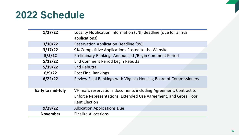### **2022 Schedule**

| 1/27/22           | Locality Notification Information (LNI) deadline (due for all 9%<br>applications)                                                                            |
|-------------------|--------------------------------------------------------------------------------------------------------------------------------------------------------------|
| 3/10/22           | <b>Reservation Application Deadline (9%)</b>                                                                                                                 |
| 3/17/22           | 9% Competitive Applications Posted to the Website                                                                                                            |
| 5/5/22            | Preliminary Rankings Announced / Begin Comment Period                                                                                                        |
| 5/12/22           | End Comment Period begin Rebuttal                                                                                                                            |
| 5/19/22           | <b>End Rebuttal</b>                                                                                                                                          |
| 6/9/22            | <b>Post Final Rankings</b>                                                                                                                                   |
| 6/22/22           | Review Final Rankings with Virginia Housing Board of Commissioners                                                                                           |
| Early to mid-July | VH mails reservations documents including Agreement, Contract to<br>Enforce Representations, Extended Use Agreement, and Gross Floor<br><b>Rent Election</b> |
| 9/29/22           | <b>Allocation Applications Due</b>                                                                                                                           |
| <b>November</b>   | <b>Finalize Allocations</b>                                                                                                                                  |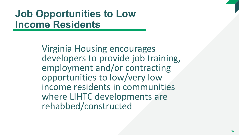### **Job Opportunities to Low Income Residents**

Virginia Housing encourages developers to provide job training, employment and/or contracting opportunities to low/very low- income residents in communities where LIHTC developments are rehabbed/constructed.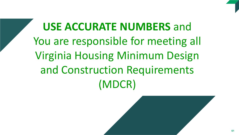

### **Solution School**<br>Figure and Construction Requirements **USE ACCURATE NUMBERS** and You are responsible for meeting all Virginia Housing Minimum Design and Construction Requirements (MDCR)

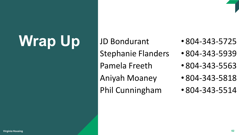# Wrap Up JD Bondurant

Stephanie Flanders

Pamela Freeth

Aniyah Moaney

Phil Cunningham

- 804-343-5725
- 804-343-5939
- 804-343-5563
- 804-343-5818
- 804-343-5514